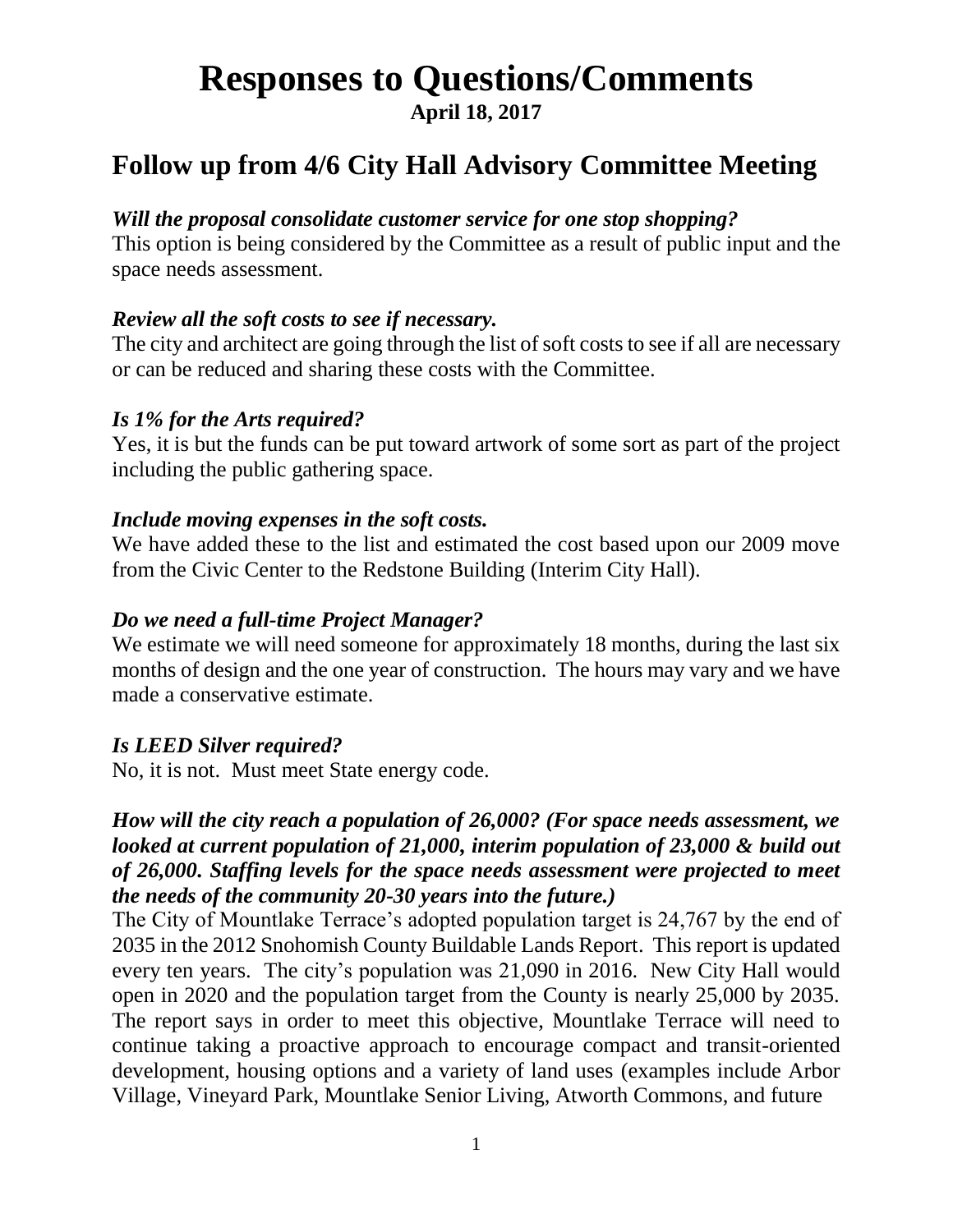# **Responses to Questions/Comments**

**April 18, 2017**

### **Follow up from 4/6 City Hall Advisory Committee Meeting**

#### *Will the proposal consolidate customer service for one stop shopping?*

This option is being considered by the Committee as a result of public input and the space needs assessment.

#### *Review all the soft costs to see if necessary.*

The city and architect are going through the list of soft costs to see if all are necessary or can be reduced and sharing these costs with the Committee.

#### *Is 1% for the Arts required?*

Yes, it is but the funds can be put toward artwork of some sort as part of the project including the public gathering space.

#### *Include moving expenses in the soft costs.*

We have added these to the list and estimated the cost based upon our 2009 move from the Civic Center to the Redstone Building (Interim City Hall).

#### *Do we need a full-time Project Manager?*

We estimate we will need someone for approximately 18 months, during the last six months of design and the one year of construction. The hours may vary and we have made a conservative estimate.

#### *Is LEED Silver required?*

No, it is not. Must meet State energy code.

#### *How will the city reach a population of 26,000? (For space needs assessment, we looked at current population of 21,000, interim population of 23,000 & build out of 26,000. Staffing levels for the space needs assessment were projected to meet the needs of the community 20-30 years into the future.)*

The City of Mountlake Terrace's adopted population target is 24,767 by the end of 2035 in the 2012 Snohomish County Buildable Lands Report. This report is updated every ten years. The city's population was 21,090 in 2016. New City Hall would open in 2020 and the population target from the County is nearly 25,000 by 2035. The report says in order to meet this objective, Mountlake Terrace will need to continue taking a proactive approach to encourage compact and transit-oriented development, housing options and a variety of land uses (examples include Arbor Village, Vineyard Park, Mountlake Senior Living, Atworth Commons, and future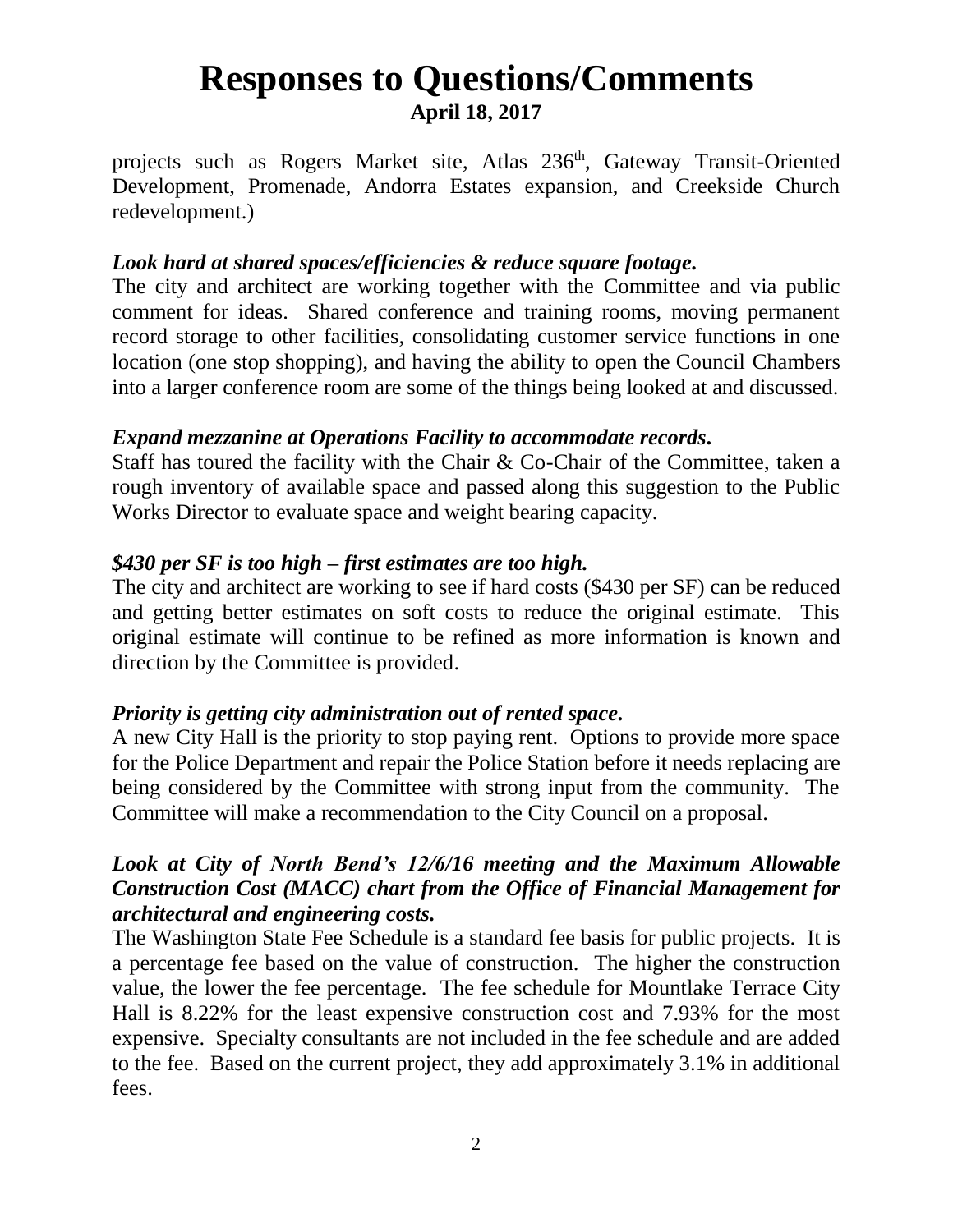projects such as Rogers Market site, Atlas 236<sup>th</sup>, Gateway Transit-Oriented Development, Promenade, Andorra Estates expansion, and Creekside Church redevelopment.)

#### *Look hard at shared spaces/efficiencies & reduce square footage.*

The city and architect are working together with the Committee and via public comment for ideas. Shared conference and training rooms, moving permanent record storage to other facilities, consolidating customer service functions in one location (one stop shopping), and having the ability to open the Council Chambers into a larger conference room are some of the things being looked at and discussed.

#### *Expand mezzanine at Operations Facility to accommodate records.*

Staff has toured the facility with the Chair & Co-Chair of the Committee, taken a rough inventory of available space and passed along this suggestion to the Public Works Director to evaluate space and weight bearing capacity.

#### *\$430 per SF is too high – first estimates are too high.*

The city and architect are working to see if hard costs (\$430 per SF) can be reduced and getting better estimates on soft costs to reduce the original estimate. This original estimate will continue to be refined as more information is known and direction by the Committee is provided.

#### *Priority is getting city administration out of rented space.*

A new City Hall is the priority to stop paying rent. Options to provide more space for the Police Department and repair the Police Station before it needs replacing are being considered by the Committee with strong input from the community. The Committee will make a recommendation to the City Council on a proposal.

#### *Look at City of North Bend's 12/6/16 meeting and the Maximum Allowable Construction Cost (MACC) chart from the Office of Financial Management for architectural and engineering costs.*

The Washington State Fee Schedule is a standard fee basis for public projects. It is a percentage fee based on the value of construction. The higher the construction value, the lower the fee percentage. The fee schedule for Mountlake Terrace City Hall is 8.22% for the least expensive construction cost and 7.93% for the most expensive. Specialty consultants are not included in the fee schedule and are added to the fee. Based on the current project, they add approximately 3.1% in additional fees.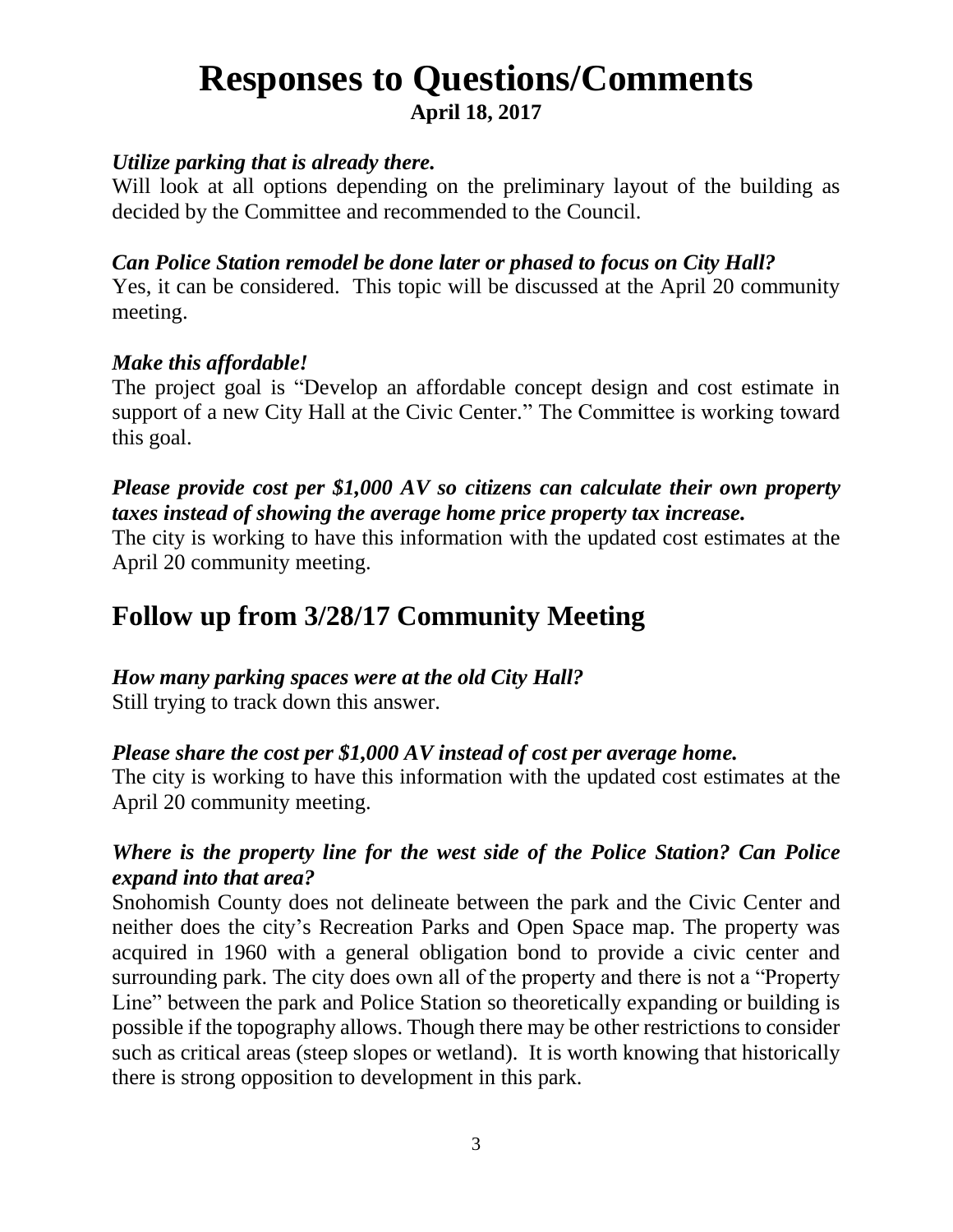#### *Utilize parking that is already there.*

Will look at all options depending on the preliminary layout of the building as decided by the Committee and recommended to the Council.

#### *Can Police Station remodel be done later or phased to focus on City Hall?*

Yes, it can be considered. This topic will be discussed at the April 20 community meeting.

#### *Make this affordable!*

The project goal is "Develop an affordable concept design and cost estimate in support of a new City Hall at the Civic Center." The Committee is working toward this goal.

#### *Please provide cost per \$1,000 AV so citizens can calculate their own property taxes instead of showing the average home price property tax increase.*

The city is working to have this information with the updated cost estimates at the April 20 community meeting.

### **Follow up from 3/28/17 Community Meeting**

*How many parking spaces were at the old City Hall?*

Still trying to track down this answer.

#### *Please share the cost per \$1,000 AV instead of cost per average home.*

The city is working to have this information with the updated cost estimates at the April 20 community meeting.

#### *Where is the property line for the west side of the Police Station? Can Police expand into that area?*

Snohomish County does not delineate between the park and the Civic Center and neither does the city's Recreation Parks and Open Space map. The property was acquired in 1960 with a general obligation bond to provide a civic center and surrounding park. The city does own all of the property and there is not a "Property Line" between the park and Police Station so theoretically expanding or building is possible if the topography allows. Though there may be other restrictions to consider such as critical areas (steep slopes or wetland). It is worth knowing that historically there is strong opposition to development in this park.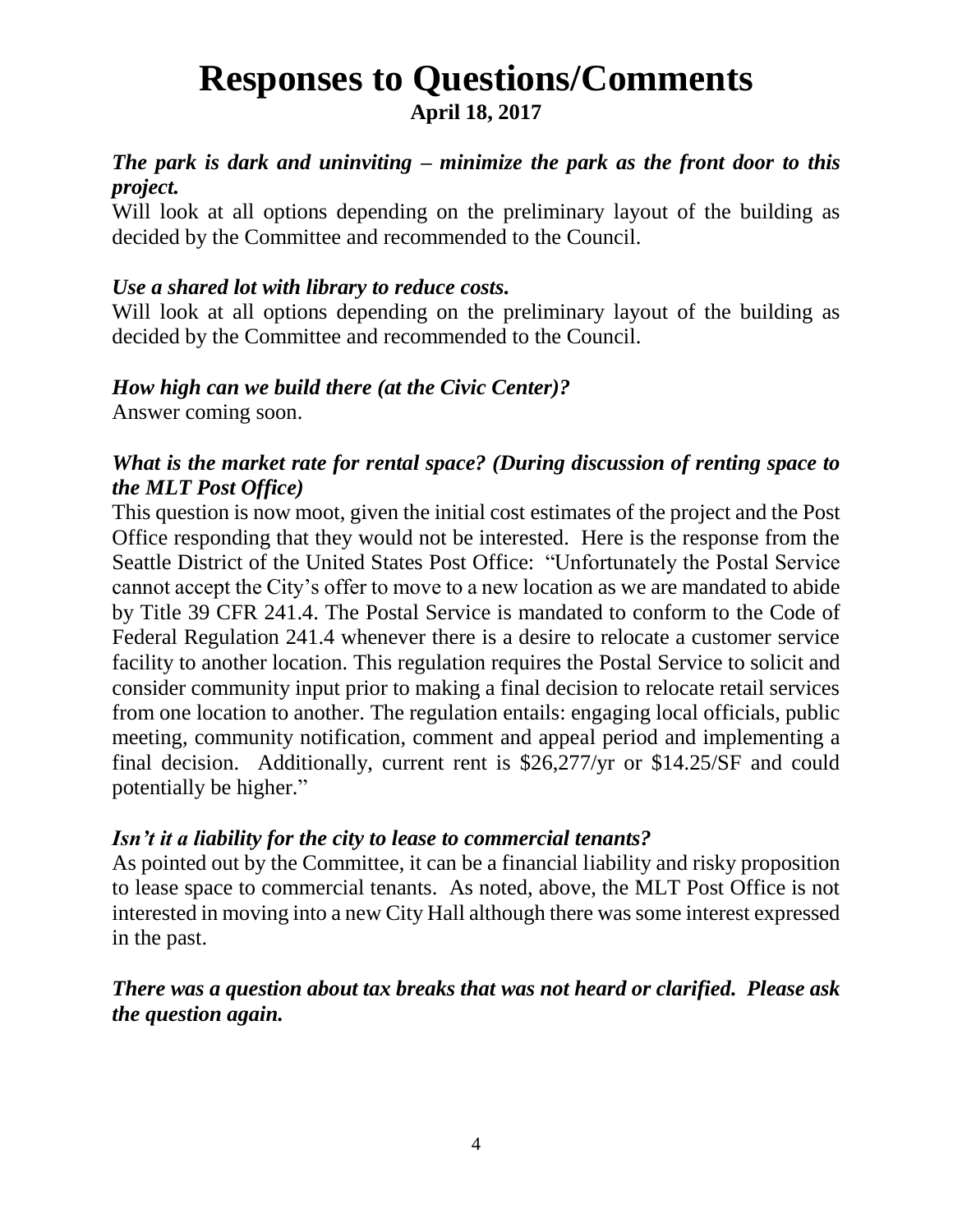#### *The park is dark and uninviting – minimize the park as the front door to this project.*

Will look at all options depending on the preliminary layout of the building as decided by the Committee and recommended to the Council.

#### *Use a shared lot with library to reduce costs.*

Will look at all options depending on the preliminary layout of the building as decided by the Committee and recommended to the Council.

#### *How high can we build there (at the Civic Center)?*

Answer coming soon.

#### *What is the market rate for rental space? (During discussion of renting space to the MLT Post Office)*

This question is now moot, given the initial cost estimates of the project and the Post Office responding that they would not be interested. Here is the response from the Seattle District of the United States Post Office: "Unfortunately the Postal Service cannot accept the City's offer to move to a new location as we are mandated to abide by Title 39 CFR 241.4. The Postal Service is mandated to conform to the Code of Federal Regulation 241.4 whenever there is a desire to relocate a customer service facility to another location. This regulation requires the Postal Service to solicit and consider community input prior to making a final decision to relocate retail services from one location to another. The regulation entails: engaging local officials, public meeting, community notification, comment and appeal period and implementing a final decision. Additionally, current rent is \$26,277/yr or \$14.25/SF and could potentially be higher."

#### *Isn't it a liability for the city to lease to commercial tenants?*

As pointed out by the Committee, it can be a financial liability and risky proposition to lease space to commercial tenants. As noted, above, the MLT Post Office is not interested in moving into a new City Hall although there was some interest expressed in the past.

#### *There was a question about tax breaks that was not heard or clarified. Please ask the question again.*